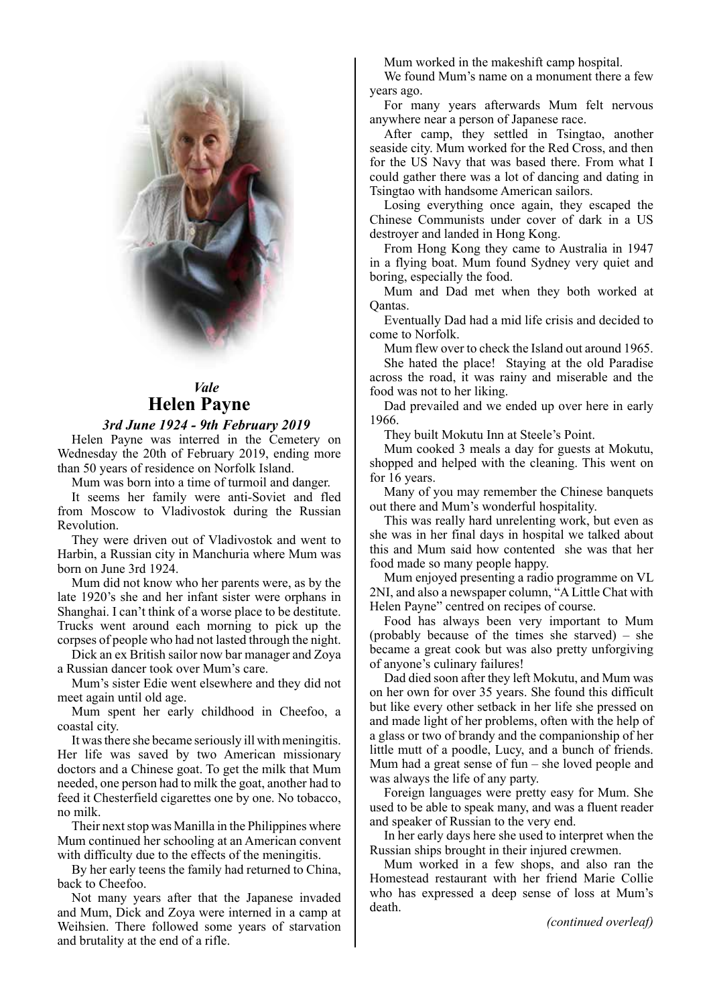

# *Vale* **Helen Payne** Helen Payne

3rd June 1924 - 9th February 2019

Helen Payne was interred in the Cemetery on Wednesday the 20th of February 2019, ending more than 50 years of residence on Norfolk Island.

Mum was born into a time of turmoil and danger.

It seems her family were anti-Soviet and fled from Moscow to Vladivostok during the Russian Revolution.

They were driven out of Vladivostok and went to Harbin, a Russian city in Manchuria where Mum was born on June 3rd 1924.

Mum did not know who her parents were, as by the late 1920's she and her infant sister were orphans in Shanghai. I can't think of a worse place to be destitute. Trucks went around each morning to pick up the corpses of people who had not lasted through the night.

Dick an ex British sailor now bar manager and Zoya a Russian dancer took over Mum's care.

Mum's sister Edie went elsewhere and they did not meet again until old age.

Mum spent her early childhood in Cheefoo, a coastal city.

It was there she became seriously ill with meningitis. Her life was saved by two American missionary doctors and a Chinese goat. To get the milk that Mum needed, one person had to milk the goat, another had to feed it Chesterfield cigarettes one by one. No tobacco, no milk.

Their next stop was Manilla in the Philippines where Mum continued her schooling at an American convent with difficulty due to the effects of the meningitis.

By her early teens the family had returned to China, back to Cheefoo.

Not many years after that the Japanese invaded and Mum, Dick and Zoya were interned in a camp at Weihsien. There followed some years of starvation and brutality at the end of a rifle.

Mum worked in the makeshift camp hospital.

We found Mum's name on a monument there a few years ago.

For many years afterwards Mum felt nervous anywhere near a person of Japanese race.

After camp, they settled in Tsingtao, another seaside city. Mum worked for the Red Cross, and then for the US Navy that was based there. From what I could gather there was a lot of dancing and dating in Tsingtao with handsome American sailors.

Losing everything once again, they escaped the Chinese Communists under cover of dark in a US destroyer and landed in Hong Kong.

From Hong Kong they came to Australia in 1947 in a flying boat. Mum found Sydney very quiet and boring, especially the food.

Mum and Dad met when they both worked at Qantas.

Eventually Dad had a mid life crisis and decided to come to Norfolk.

Mum flew over to check the Island out around 1965.

She hated the place! Staying at the old Paradise across the road, it was rainy and miserable and the food was not to her liking.

Dad prevailed and we ended up over here in early 1966.

They built Mokutu Inn at Steele's Point.

Mum cooked 3 meals a day for guests at Mokutu, shopped and helped with the cleaning. This went on for 16 years.

Many of you may remember the Chinese banquets out there and Mum's wonderful hospitality.

This was really hard unrelenting work, but even as she was in her final days in hospital we talked about this and Mum said how contented she was that her food made so many people happy.

Mum enjoyed presenting a radio programme on VL 2NI, and also a newspaper column, "A Little Chat with Helen Payne" centred on recipes of course.

Food has always been very important to Mum (probably because of the times she starved) – she became a great cook but was also pretty unforgiving of anyone's culinary failures!

Dad died soon after they left Mokutu, and Mum was on her own for over 35 years. She found this difficult but like every other setback in her life she pressed on and made light of her problems, often with the help of a glass or two of brandy and the companionship of her little mutt of a poodle, Lucy, and a bunch of friends. Mum had a great sense of fun – she loved people and was always the life of any party.

Foreign languages were pretty easy for Mum. She used to be able to speak many, and was a fluent reader and speaker of Russian to the very end.

In her early days here she used to interpret when the Russian ships brought in their injured crewmen.

Mum worked in a few shops, and also ran the Homestead restaurant with her friend Marie Collie who has expressed a deep sense of loss at Mum's death.

*(continued overleaf)*